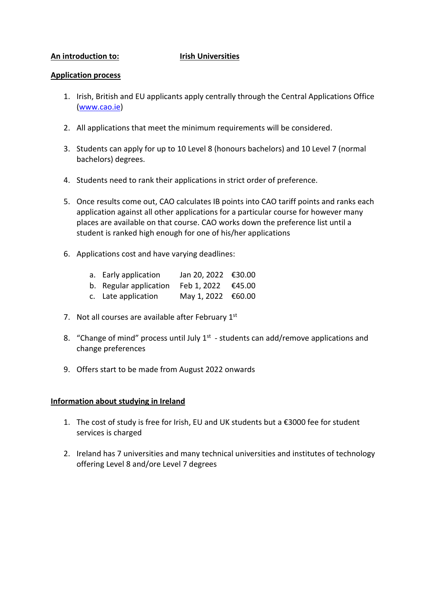# **An introduction to: Irish Universities**

### **Application process**

- 1. Irish, British and EU applicants apply centrally through the Central Applications Office [\(www.cao.ie\)](http://www.cao.ie/)
- 2. All applications that meet the minimum requirements will be considered.
- 3. Students can apply for up to 10 Level 8 (honours bachelors) and 10 Level 7 (normal bachelors) degrees.
- 4. Students need to rank their applications in strict order of preference.
- 5. Once results come out, CAO calculates IB points into CAO tariff points and ranks each application against all other applications for a particular course for however many places are available on that course. CAO works down the preference list until a student is ranked high enough for one of his/her applications
- 6. Applications cost and have varying deadlines:
	- a. Early application Jan 20, 2022  $\epsilon$ 30.00
	- b. Regular application Feb 1, 2022 €45.00
	- c. Late application May 1, 2022  $\epsilon$ 60.00
- 7. Not all courses are available after February 1st
- 8. "Change of mind" process until July  $1<sup>st</sup>$  students can add/remove applications and change preferences
- 9. Offers start to be made from August 2022 onwards

# **Information about studying in Ireland**

- 1. The cost of study is free for Irish, EU and UK students but a  $\epsilon$ 3000 fee for student services is charged
- 2. Ireland has 7 universities and many technical universities and institutes of technology offering Level 8 and/ore Level 7 degrees